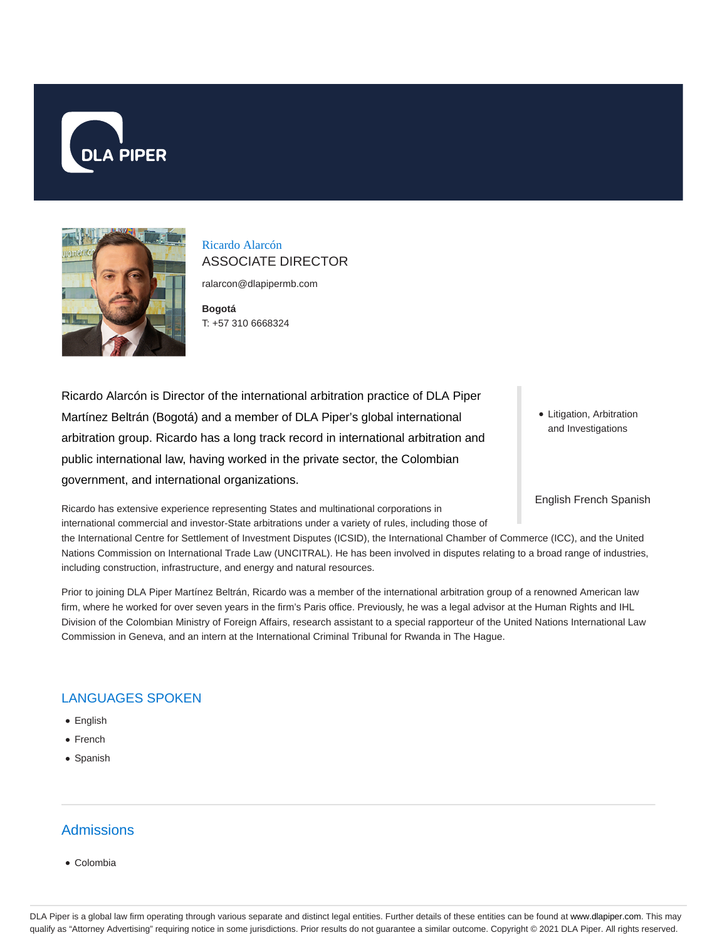



# Ricardo Alarcón ASSOCIATE DIRECTOR

ralarcon@dlapipermb.com

**Bogotá** T: +57 310 6668324

Ricardo Alarcón is Director of the international arbitration practice of DLA Piper Martínez Beltrán (Bogotá) and a member of DLA Piper's global international arbitration group. Ricardo has a long track record in international arbitration and public international law, having worked in the private sector, the Colombian government, and international organizations.

Litigation, Arbitration and Investigations

English French Spanish

Ricardo has extensive experience representing States and multinational corporations in international commercial and investor-State arbitrations under a variety of rules, including those of

the International Centre for Settlement of Investment Disputes (ICSID), the International Chamber of Commerce (ICC), and the United Nations Commission on International Trade Law (UNCITRAL). He has been involved in disputes relating to a broad range of industries, including construction, infrastructure, and energy and natural resources.

Prior to joining DLA Piper Martínez Beltrán, Ricardo was a member of the international arbitration group of a renowned American law firm, where he worked for over seven years in the firm's Paris office. Previously, he was a legal advisor at the Human Rights and IHL Division of the Colombian Ministry of Foreign Affairs, research assistant to a special rapporteur of the United Nations International Law Commission in Geneva, and an intern at the International Criminal Tribunal for Rwanda in The Hague.

## LANGUAGES SPOKEN

- English
- French
- Spanish

## Admissions

Colombia

DLA Piper is a global law firm operating through various separate and distinct legal entities. Further details of these entities can be found at www.dlapiper.com. This may qualify as "Attorney Advertising" requiring notice in some jurisdictions. Prior results do not guarantee a similar outcome. Copyright © 2021 DLA Piper. All rights reserved.